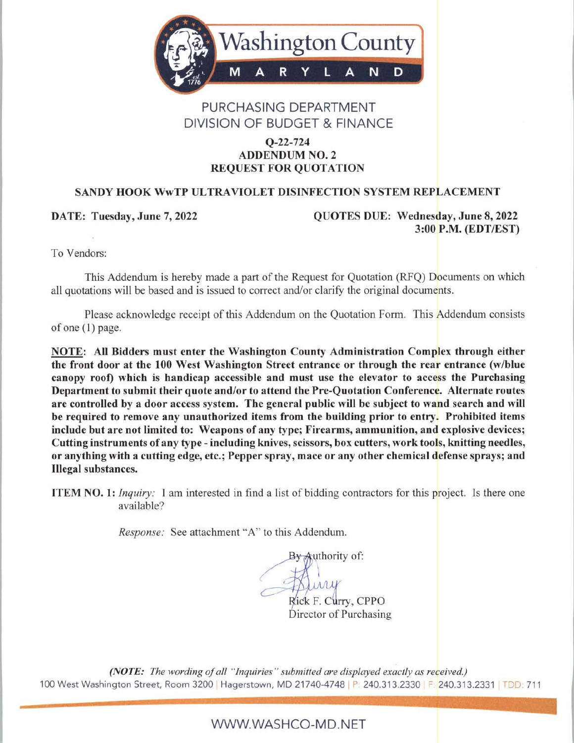

## PURCHASING DEPARTMENT **DIVISION OF BUDGET & FINANCE**

#### $Q - 22 - 724$ **ADDENDUM NO. 2 REQUEST FOR QUOTATION**

#### **SANDY HOOK WWTP ULTRAVIOLET DISINFECTION SYSTEM REPLACEMENT**

DATE: Tuesday, June 7, 2022

QUOTES DUE: Wednesday, June 8, 2022 3:00 P.M. (EDT/EST)

To Vendors:

This Addendum is hereby made a part of the Request for Quotation (RFQ) Documents on which all quotations will be based and is issued to correct and/or clarify the original documents.

Please acknowledge receipt of this Addendum on the Quotation Form. This Addendum consists of one  $(1)$  page.

NOTE: All Bidders must enter the Washington County Administration Complex through either the front door at the 100 West Washington Street entrance or through the rear entrance (w/blue canopy roof) which is handicap accessible and must use the elevator to access the Purchasing Department to submit their quote and/or to attend the Pre-Quotation Conference. Alternate routes are controlled by a door access system. The general public will be subject to wand search and will be required to remove any unauthorized items from the building prior to entry. Prohibited items include but are not limited to: Weapons of any type; Firearms, ammunition, and explosive devices; Cutting instruments of any type - including knives, scissors, box cutters, work tools, knitting needles, or anything with a cutting edge, etc.; Pepper spray, mace or any other chemical defense sprays; and **Illegal substances.** 

**ITEM NO. 1:** *Inquiry*: I am interested in find a list of bidding contractors for this project. Is there one available?

Response: See attachment "A" to this Addendum.

By Authority of:

irry Rick F. Curry, CPPO Director of Purchasing

(NOTE: The wording of all "Inquiries" submitted are displayed exactly as received.) 100 West Washington Street, Room 3200 | Hagerstown, MD 21740-4748 | P: 240.313.2330 | F: 240.313.2331 | TDD: 711

WWW.WASHCO-MD.NET